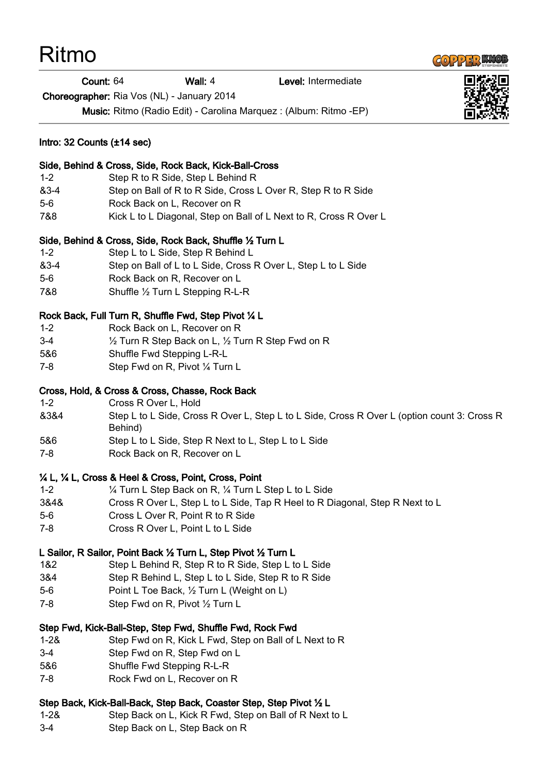| Ritmo                                                                |                                                                                                   |                                                                                                |                                                                                             |  |
|----------------------------------------------------------------------|---------------------------------------------------------------------------------------------------|------------------------------------------------------------------------------------------------|---------------------------------------------------------------------------------------------|--|
|                                                                      | Count: 64                                                                                         | Wall: 4                                                                                        | Level: Intermediate                                                                         |  |
| Choreographer: Ria Vos (NL) - January 2014                           |                                                                                                   |                                                                                                |                                                                                             |  |
|                                                                      |                                                                                                   |                                                                                                | Music: Ritmo (Radio Edit) - Carolina Marquez : (Album: Ritmo -EP)                           |  |
| Intro: $32$ Counts $(\pm 14 \text{ sec})$                            |                                                                                                   |                                                                                                |                                                                                             |  |
|                                                                      |                                                                                                   | Side, Behind & Cross, Side, Rock Back, Kick-Ball-Cross                                         |                                                                                             |  |
| $1 - 2$                                                              |                                                                                                   | Step R to R Side, Step L Behind R                                                              |                                                                                             |  |
| &3-4                                                                 | Step on Ball of R to R Side, Cross L Over R, Step R to R Side                                     |                                                                                                |                                                                                             |  |
| $5-6$                                                                | Rock Back on L, Recover on R<br>Kick L to L Diagonal, Step on Ball of L Next to R, Cross R Over L |                                                                                                |                                                                                             |  |
| 7&8                                                                  |                                                                                                   |                                                                                                |                                                                                             |  |
| $1 - 2$                                                              |                                                                                                   | Side, Behind & Cross, Side, Rock Back, Shuffle 1/2 Turn L<br>Step L to L Side, Step R Behind L |                                                                                             |  |
| &3-4                                                                 |                                                                                                   |                                                                                                | Step on Ball of L to L Side, Cross R Over L, Step L to L Side                               |  |
| $5-6$                                                                | Rock Back on R, Recover on L                                                                      |                                                                                                |                                                                                             |  |
| 7&8                                                                  |                                                                                                   | Shuffle 1/2 Turn L Stepping R-L-R                                                              |                                                                                             |  |
| Rock Back, Full Turn R, Shuffle Fwd, Step Pivot 1/4 L                |                                                                                                   |                                                                                                |                                                                                             |  |
| $1 - 2$                                                              | Rock Back on L, Recover on R                                                                      |                                                                                                |                                                                                             |  |
| $3-4$                                                                |                                                                                                   | 1/2 Turn R Step Back on L, 1/2 Turn R Step Fwd on R                                            |                                                                                             |  |
| 5&6                                                                  | Shuffle Fwd Stepping L-R-L                                                                        |                                                                                                |                                                                                             |  |
| $7 - 8$                                                              | Step Fwd on R, Pivot 1/4 Turn L                                                                   |                                                                                                |                                                                                             |  |
|                                                                      |                                                                                                   | Cross, Hold, & Cross & Cross, Chasse, Rock Back                                                |                                                                                             |  |
| $1 - 2$                                                              | Cross R Over L, Hold                                                                              |                                                                                                |                                                                                             |  |
| 8384                                                                 | Behind)                                                                                           |                                                                                                | Step L to L Side, Cross R Over L, Step L to L Side, Cross R Over L (option count 3: Cross R |  |
| 5&6                                                                  |                                                                                                   | Step L to L Side, Step R Next to L, Step L to L Side                                           |                                                                                             |  |
| $7 - 8$                                                              | Rock Back on R, Recover on L                                                                      |                                                                                                |                                                                                             |  |
|                                                                      |                                                                                                   | 1/4 L, 1/4 L, Cross & Heel & Cross, Point, Cross, Point                                        |                                                                                             |  |
| $1 - 2$                                                              |                                                                                                   | 1/4 Turn L Step Back on R, 1/4 Turn L Step L to L Side                                         |                                                                                             |  |
| 3&4&                                                                 |                                                                                                   |                                                                                                | Cross R Over L, Step L to L Side, Tap R Heel to R Diagonal, Step R Next to L                |  |
| $5-6$<br>$7 - 8$                                                     |                                                                                                   | Cross L Over R, Point R to R Side<br>Cross R Over L, Point L to L Side                         |                                                                                             |  |
|                                                                      |                                                                                                   |                                                                                                |                                                                                             |  |
|                                                                      |                                                                                                   | L Sailor, R Sailor, Point Back 1/2 Turn L, Step Pivot 1/2 Turn L                               |                                                                                             |  |
| 1&2                                                                  |                                                                                                   | Step L Behind R, Step R to R Side, Step L to L Side                                            |                                                                                             |  |
| 3&4                                                                  |                                                                                                   | Step R Behind L, Step L to L Side, Step R to R Side                                            |                                                                                             |  |
| $5-6$                                                                |                                                                                                   | Point L Toe Back, 1/2 Turn L (Weight on L)                                                     |                                                                                             |  |
| 7-8                                                                  | Step Fwd on R, Pivot 1/2 Turn L                                                                   |                                                                                                |                                                                                             |  |
| Step Fwd, Kick-Ball-Step, Step Fwd, Shuffle Fwd, Rock Fwd            |                                                                                                   |                                                                                                |                                                                                             |  |
| $1 - 28$                                                             |                                                                                                   | Step Fwd on R, Kick L Fwd, Step on Ball of L Next to R                                         |                                                                                             |  |
| 3-4                                                                  | Step Fwd on R, Step Fwd on L                                                                      |                                                                                                |                                                                                             |  |
| 5&6                                                                  | Shuffle Fwd Stepping R-L-R                                                                        |                                                                                                |                                                                                             |  |
| 7-8                                                                  | Rock Fwd on L, Recover on R                                                                       |                                                                                                |                                                                                             |  |
| Step Back, Kick-Ball-Back, Step Back, Coaster Step, Step Pivot 1/2 L |                                                                                                   |                                                                                                |                                                                                             |  |

- 1-2& Step Back on L, Kick R Fwd, Step on Ball of R Next to L
- 3-4 Step Back on L, Step Back on R